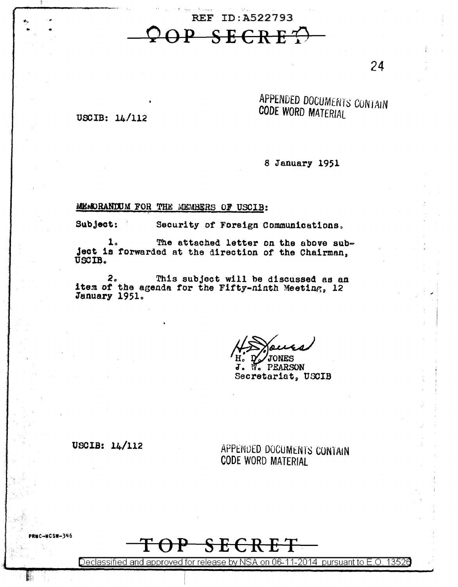REF ID: A522793 P SECRE'

24

## APPENDED DOCUMENTS CONTAIN CODE WORD MATERIAL

USCIB:  $14/112$ 

8 January 1951

MEMORANDUM FOR THE MEMBERS OF USCIB:

Subject:

Security of Foreign Communications.

The attached letter on the above sub- $\mathbf{1}$ . ject is forwarded at the direction of the Chairman, USCIB.

This subject will be discussed as an  $2<sub>o</sub>$ item of the agenda for the Fifty-ninth Meeting, 12 January 1951.

JONES

**W.** PEARSON J. Secretariat, USCIB

USCIB:  $14/112$ 

**-NCSW-346** 

APPENDED DOCUMENTS CONTAIN **CODE WORD MATERIAL** 

<del>SECRET</del>

Declassified and approved for release by NSA on 06-11-2014 pursuant to E.O. 13526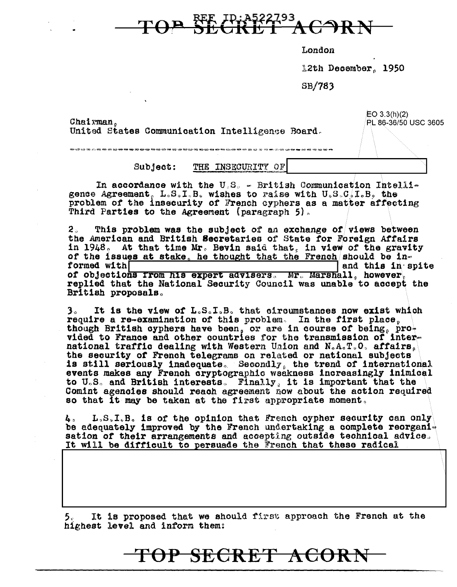

London

12th December, 1950

 $SB/783$ 

Chairman, United States Communication Intelligence Board.  $EO 3.3(h)(2)$ PL 86-36/50 USC 3605

Subject: THE INSECURITY OF

In accordance with the U.S. - British Communication Intelligence Agreement,  $L_sS_sI_sB_s$  wishes to raise with  $U_sS_sC_sI_sB_s$  the problem of the insecurity of French evphers as a matter affecting Third Parties to the Agreement (paragraph 5).

2。 This problem was the subject of an exchange of views between the American and British Secretaries of State for Foreign Affairs in 1948. At that time Mr. Bevin said that, in view of the gravity of the issues at stake, he thought that the French should be informed with and this in spite of objections from his expert advisers. Mr. Marshall, however, replied that the National Security Council was unable to accept the British proposals.

It is the view of L.S.I.B. that circumstances now exist which З. require a re-examination of this problem. In the first place, though British cyphers have been or are in course of being pro-<br>vided to France and other countries for the transmission of international traffic dealing with Western Union and N.A.T.O. affairs. the security of French telegrams on related or national subjects is still seriously inadequate. Secondly, the trend of international events makes any French cryptographic weakness increasingly inimical to U.S. and British interests. Finally, it is important that the Comint agencies should reach agreement now about the action required so that it may be taken at the first appropriate moment.

 $L, S, I, B$ , is of the opinion that French oypher security can only 4. be adequately improved by the French undertaking a complete reorganisation of their arrangements and accepting outside technical advice. It will be difficult to persuade the French that these radical

It is proposed that we should first approach the French at the 5. highest level and inform them:

## TOP SECRET ACORN